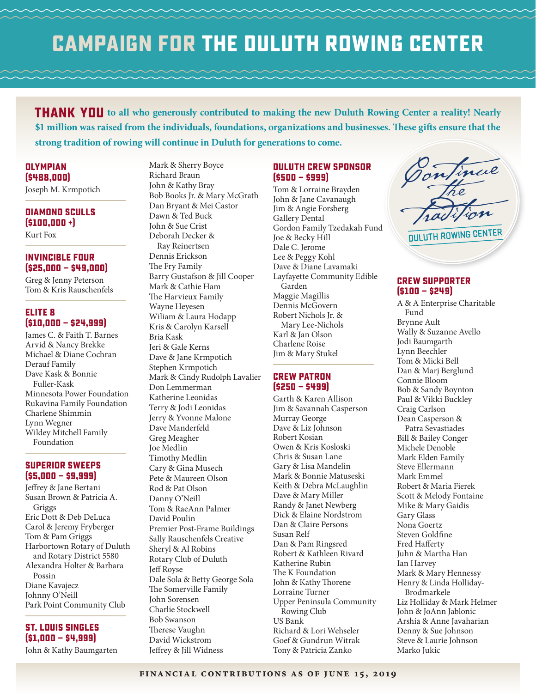## **Campaign for the Duluth Rowing Center**

**THANK YOU** to all who generously contributed to making the new Duluth Rowing Center a reality! Nearly **\$1 million was raised from the individuals, foundations, organizations and businesses. These gifts ensure that the strong tradition of rowing will continue in Duluth for generations to come.**

**Olympian (\$488,000)**

Joseph M. Krmpotich

#### **Diamond Sculls (\$100,000 +)** Kurt Fox

**Invincible Four (\$25,000 — \$49,000)**

Greg & Jenny Peterson Tom & Kris Rauschenfels

## **Elite 8 (\$10,000 — \$24,999)**

James C. & Faith T. Barnes Arvid & Nancy Brekke Michael & Diane Cochran Derauf Family Dave Kask & Bonnie Fuller-Kask Minnesota Power Foundation Rukavina Family Foundation Charlene Shimmin Lynn Wegner Wildey Mitchell Family Foundation

## **Superior Sweeps (\$5,000 — \$9,999)**

Jeffrey & Jane Bertani Susan Brown & Patricia A. Griggs Eric Dott & Deb DeLuca Carol & Jeremy Fryberger Tom & Pam Griggs Harbortown Rotary of Duluth and Rotary District 5580 Alexandra Holter & Barbara Possin Diane Kavajecz Johnny O'Neill Park Point Community Club

**St. Louis Singles (\$1,000 — \$4,999)** John & Kathy Baumgarten Mark & Sherry Boyce Richard Braun John & Kathy Bray Bob Books Jr. & Mary McGrath Dan Bryant & Mei Castor Dawn & Ted Buck John & Sue Crist Deborah Decker & Ray Reinertsen Dennis Erickson The Fry Family Barry Gustafson & Jill Cooper Mark & Cathie Ham The Harvieux Family Wayne Heyesen Wiliam & Laura Hodapp Kris & Carolyn Karsell Bria Kask Jeri & Gale Kerns Dave & Jane Krmpotich Stephen Krmpotich Mark & Cindy Rudolph Lavalier Don Lemmerman Katherine Leonidas Terry & Jodi Leonidas Jerry & Yvonne Malone Dave Manderfeld Greg Meagher Joe Medlin Timothy Medlin Cary & Gina Musech Pete & Maureen Olson Rod & Pat Olson Danny O'Neill Tom & RaeAnn Palmer David Poulin Premier Post-Frame Buildings Sally Rauschenfels Creative Sheryl & Al Robins Rotary Club of Duluth Jeff Royse Dale Sola & Betty George Sola The Somerville Family John Sorensen Charlie Stockwell Bob Swanson Therese Vaughn David Wickstrom

Jeffrey & Jill Widness

## **Duluth Crew Sponsor (\$500 — \$999)**

Tom & Lorraine Brayden John & Jane Cavanaugh Jim & Angie Forsberg Gallery Dental Gordon Family Tzedakah Fund Joe & Becky Hill Dale C. Jerome Lee & Peggy Kohl Dave & Diane Lavamaki Layfayette Community Edible Garden Maggie Magillis Dennis McGovern Robert Nichols Jr. & Mary Lee-Nichols Karl & Jan Olson Charlene Roise Jim & Mary Stukel

## **Crew Patron (\$250 — \$499)**

Garth & Karen Allison Jim & Savannah Casperson Murray George Dave & Liz Johnson Robert Kosian Owen & Kris Kosloski Chris & Susan Lane Gary & Lisa Mandelin Mark & Bonnie Matuseski Keith & Debra McLaughlin Dave & Mary Miller Randy & Janet Newberg Dick & Elaine Nordstrom Dan & Claire Persons Susan Relf Dan & Pam Ringsred Robert & Kathleen Rivard Katherine Rubin The K Foundation John & Kathy Thorene Lorraine Turner Upper Peninsula Community Rowing Club US Bank Richard & Lori Wehseler Goef & Gundrun Witrak Tony & Patricia Zanko

Continue duluth Rowing center

## **Crew Supporter (\$100 — \$249)**

A & A Enterprise Charitable Fund Brynne Ault Wally & Suzanne Avello Jodi Baumgarth Lynn Beechler Tom & Micki Bell Dan & Marj Berglund Connie Bloom Bob & Sandy Boynton Paul & Vikki Buckley Craig Carlson Dean Casperson & Patra Sevastiades Bill & Bailey Conger Michele Denoble Mark Elden Family Steve Ellermann Mark Emmel Robert & Maria Fierek Scott & Melody Fontaine Mike & Mary Gaidis Gary Glass Nona Goertz Steven Goldfine Fred Hafferty Juhn & Martha Han Ian Harvey Mark & Mary Hennessy Henry & Linda Holliday-Brodmarkele Liz Holliday & Mark Helmer John & JoAnn Jablonic Arshia & Anne Javaharian Denny & Sue Johnson Steve & Laurie Johnson Marko Jukic